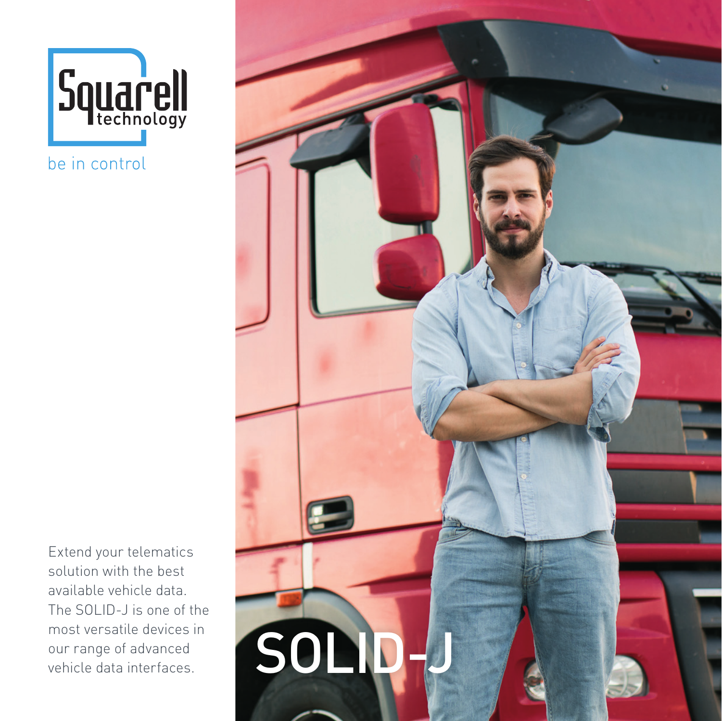

be in control

Extend your telematics solution with the best available vehicle data. The SOLID-J is one of the most versatile devices in our range of advanced vehicle data interfaces.

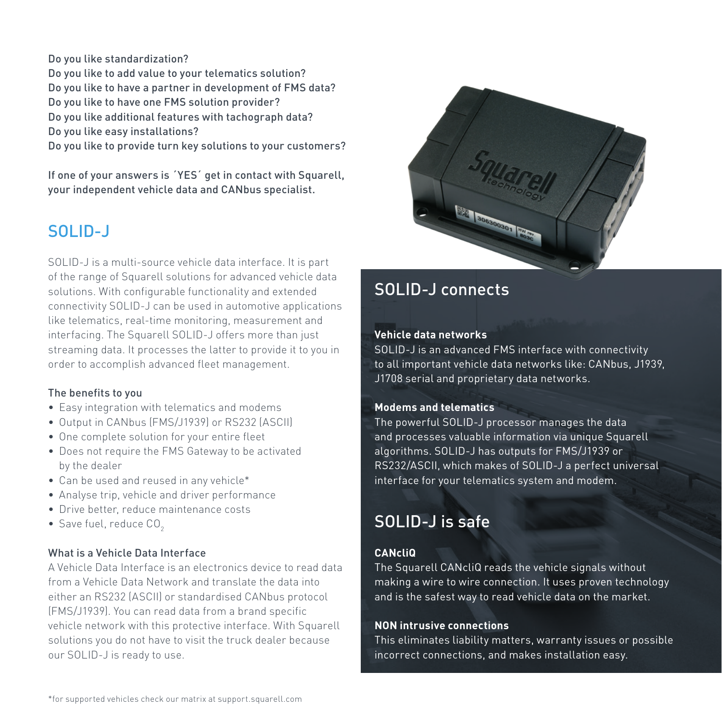Do you like standardization?

Do you like to add value to your telematics solution? Do you like to have a partner in development of FMS data? Do you like to have one FMS solution provider? Do you like additional features with tachograph data? Do you like easy installations?

Do you like to provide turn key solutions to your customers?

If one of your answers is ´YES´ get in contact with Squarell, your independent vehicle data and CANbus specialist.

## SOLID-J

SOLID-J is a multi-source vehicle data interface. It is part of the range of Squarell solutions for advanced vehicle data solutions. With configurable functionality and extended connectivity SOLID-J can be used in automotive applications like telematics, real-time monitoring, measurement and interfacing. The Squarell SOLID-J offers more than just streaming data. It processes the latter to provide it to you in order to accomplish advanced fleet management.

#### The benefits to you

- Easy integration with telematics and modems
- Output in CANbus (FMS/J1939) or RS232 (ASCII)
- One complete solution for your entire fleet
- Does not require the FMS Gateway to be activated by the dealer
- Can be used and reused in any vehicle\*
- Analyse trip, vehicle and driver performance
- Drive better, reduce maintenance costs
- $\bullet$  Save fuel, reduce  $CO<sub>2</sub>$

#### What is a Vehicle Data Interface

A Vehicle Data Interface is an electronics device to read data from a Vehicle Data Network and translate the data into either an RS232 (ASCII) or standardised CANbus protocol (FMS/J1939). You can read data from a brand specific vehicle network with this protective interface. With Squarell solutions you do not have to visit the truck dealer because our SOLID-J is ready to use.



## SOLID-J connects

#### **Vehicle data networks**

SOLID-J is an advanced FMS interface with connectivity to all important vehicle data networks like: CANbus, J1939, J1708 serial and proprietary data networks.

#### **Modems and telematics**

The powerful SOLID-J processor manages the data and processes valuable information via unique Squarell algorithms. SOLID-J has outputs for FMS/J1939 or RS232/ASCII, which makes of SOLID-J a perfect universal interface for your telematics system and modem.

# SOLID-J is safe

#### **CANcliQ**

The Squarell CANcliQ reads the vehicle signals without making a wire to wire connection. It uses proven technology and is the safest way to read vehicle data on the market.

#### **NON intrusive connections**

This eliminates liability matters, warranty issues or possible incorrect connections, and makes installation easy.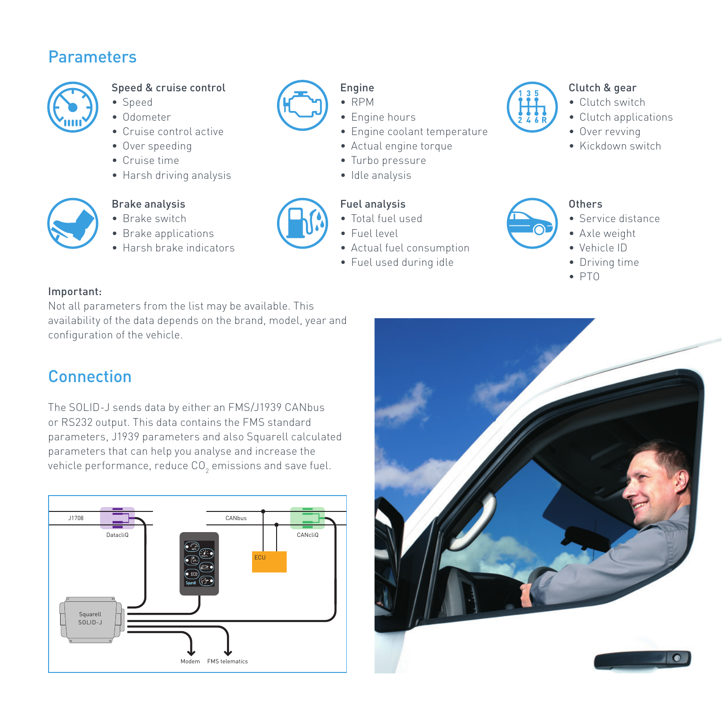## Parameters



### Speed & cruise control

- Speed
- Odometer
- Cruise control active
- Over speeding
- Cruise time
- Harsh driving analysis



#### Brake analysis

- Brake switch
- Brake applications
- Harsh brake indicators



## Engine

- RPM
- Engine hours
- Engine coolant temperature
- Actual engine torque
- Turbo pressure
- Idle analysis

## Fuel analysis

- Total fuel used
- Fuel level
- Actual fuel consumption
- Fuel used during idle

# Clutch & gear

- Clutch switch
- Clutch applications
- Over revving
- Kickdown switch

### Others

- Service distance
- Axle weight
- Vehicle ID
- Driving time
- PTO

### Important:

Not all parameters from the list may be available. This availability of the data depends on the brand, model, year and configuration of the vehicle.

# **Connection**

The SOLID-J sends data by either an FMS/J1939 CANbus or RS232 output. This data contains the FMS standard parameters, J1939 parameters and also Squarell calculated parameters that can help you analyse and increase the vehicle performance, reduce CO $_{\textrm{2}}$  emissions and save fuel.